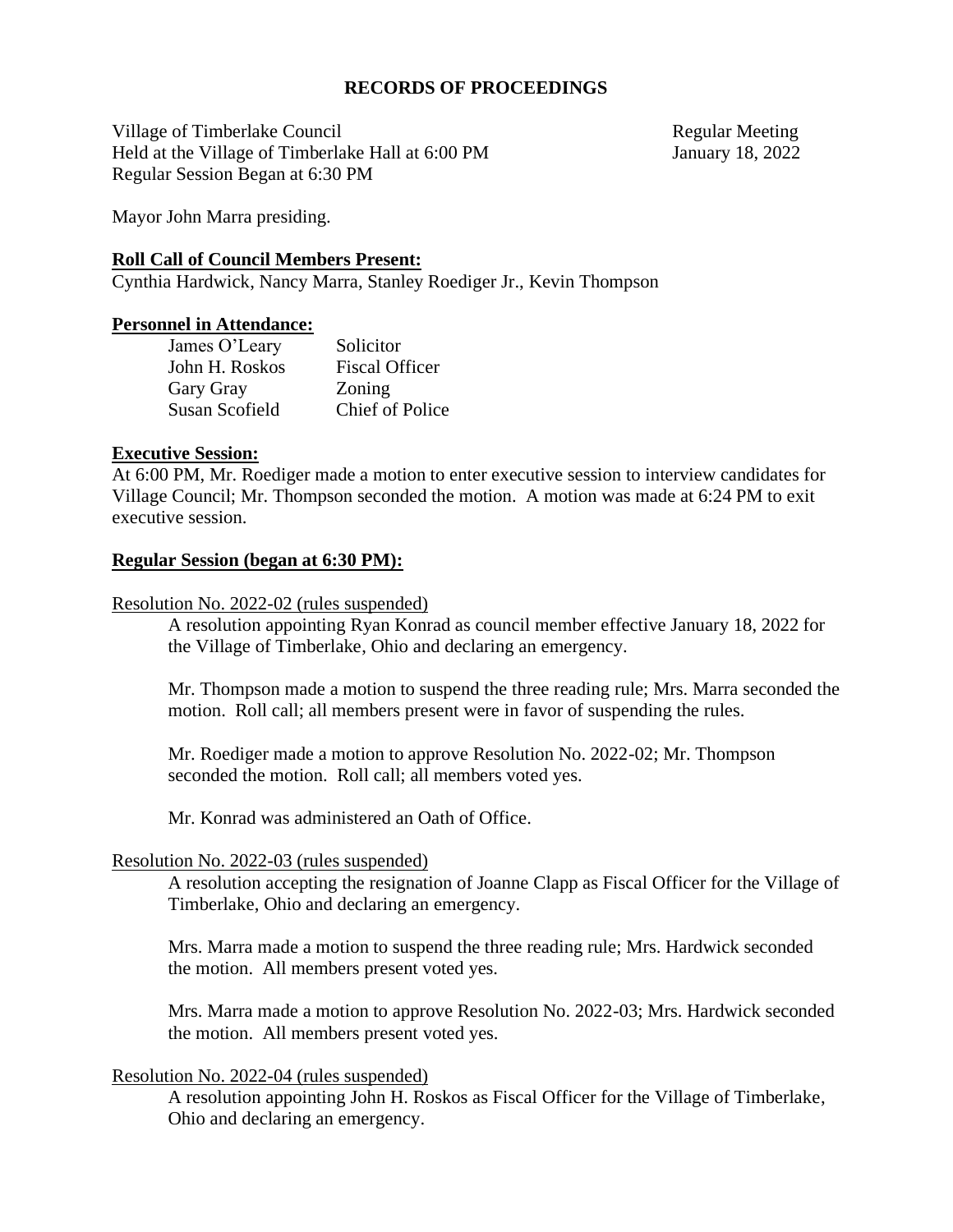### **RECORDS OF PROCEEDINGS**

Village of Timberlake Council and the council and the Regular Meeting Held at the Village of Timberlake Hall at 6:00 PM January 18, 2022 Regular Session Began at 6:30 PM

Mayor John Marra presiding.

### **Roll Call of Council Members Present:**

Cynthia Hardwick, Nancy Marra, Stanley Roediger Jr., Kevin Thompson

### **Personnel in Attendance:**

| James O'Leary  | Solicitor              |
|----------------|------------------------|
| John H. Roskos | <b>Fiscal Officer</b>  |
| Gary Gray      | Zoning                 |
| Susan Scofield | <b>Chief of Police</b> |

### **Executive Session:**

At 6:00 PM, Mr. Roediger made a motion to enter executive session to interview candidates for Village Council; Mr. Thompson seconded the motion. A motion was made at 6:24 PM to exit executive session.

### **Regular Session (began at 6:30 PM):**

### Resolution No. 2022-02 (rules suspended)

A resolution appointing Ryan Konrad as council member effective January 18, 2022 for the Village of Timberlake, Ohio and declaring an emergency.

Mr. Thompson made a motion to suspend the three reading rule; Mrs. Marra seconded the motion. Roll call; all members present were in favor of suspending the rules.

Mr. Roediger made a motion to approve Resolution No. 2022-02; Mr. Thompson seconded the motion. Roll call; all members voted yes.

Mr. Konrad was administered an Oath of Office.

### Resolution No. 2022-03 (rules suspended)

A resolution accepting the resignation of Joanne Clapp as Fiscal Officer for the Village of Timberlake, Ohio and declaring an emergency.

Mrs. Marra made a motion to suspend the three reading rule; Mrs. Hardwick seconded the motion. All members present voted yes.

Mrs. Marra made a motion to approve Resolution No. 2022-03; Mrs. Hardwick seconded the motion. All members present voted yes.

### Resolution No. 2022-04 (rules suspended)

A resolution appointing John H. Roskos as Fiscal Officer for the Village of Timberlake, Ohio and declaring an emergency.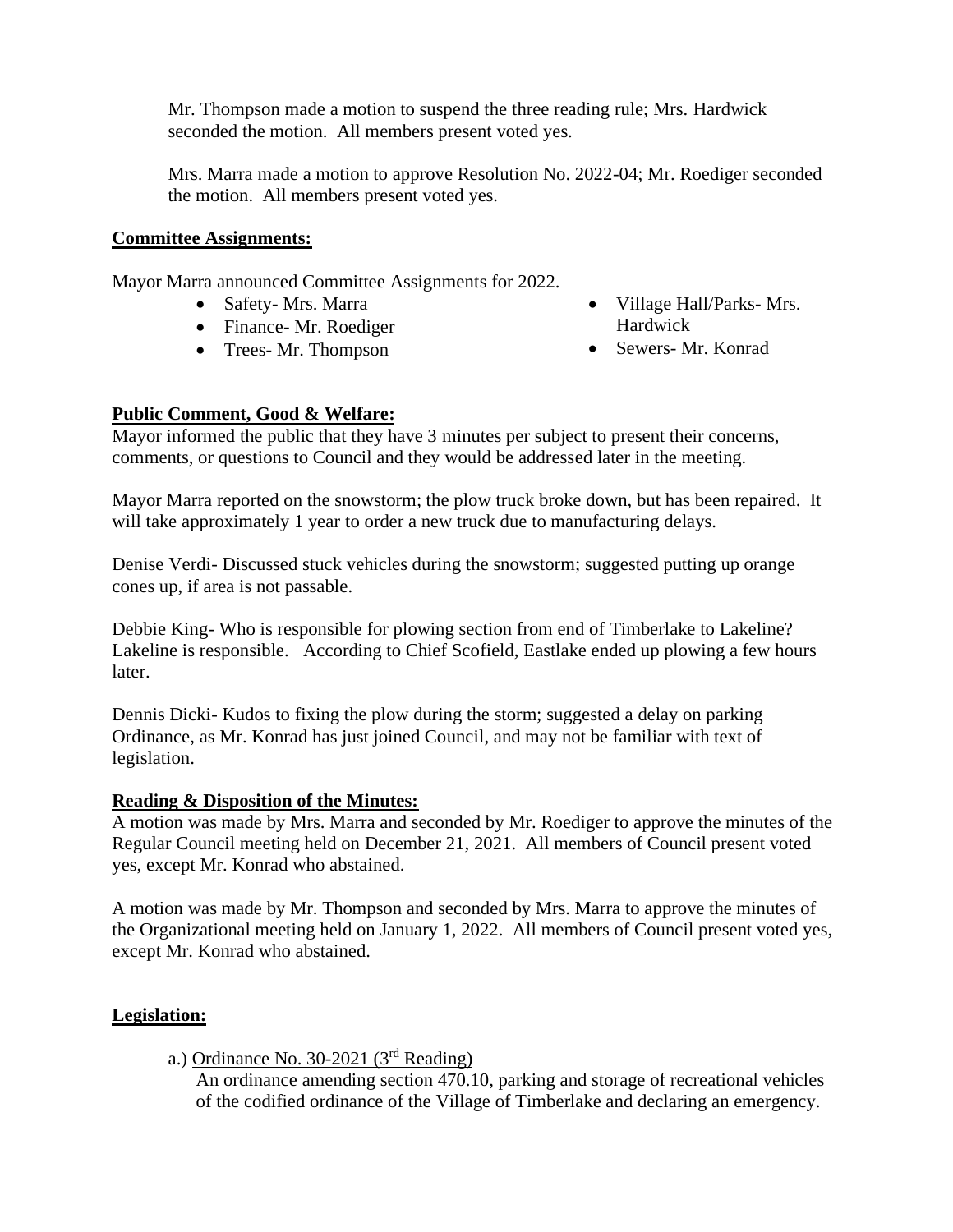Mr. Thompson made a motion to suspend the three reading rule; Mrs. Hardwick seconded the motion. All members present voted yes.

Mrs. Marra made a motion to approve Resolution No. 2022-04; Mr. Roediger seconded the motion. All members present voted yes.

### **Committee Assignments:**

Mayor Marra announced Committee Assignments for 2022.

- Safety- Mrs. Marra
- Finance- Mr. Roediger
- Trees- Mr. Thompson
- Village Hall/Parks- Mrs. Hardwick
- Sewers- Mr. Konrad

## **Public Comment, Good & Welfare:**

Mayor informed the public that they have 3 minutes per subject to present their concerns, comments, or questions to Council and they would be addressed later in the meeting.

Mayor Marra reported on the snowstorm; the plow truck broke down, but has been repaired. It will take approximately 1 year to order a new truck due to manufacturing delays.

Denise Verdi- Discussed stuck vehicles during the snowstorm; suggested putting up orange cones up, if area is not passable.

Debbie King- Who is responsible for plowing section from end of Timberlake to Lakeline? Lakeline is responsible. According to Chief Scofield, Eastlake ended up plowing a few hours later.

Dennis Dicki- Kudos to fixing the plow during the storm; suggested a delay on parking Ordinance, as Mr. Konrad has just joined Council, and may not be familiar with text of legislation.

## **Reading & Disposition of the Minutes:**

A motion was made by Mrs. Marra and seconded by Mr. Roediger to approve the minutes of the Regular Council meeting held on December 21, 2021. All members of Council present voted yes, except Mr. Konrad who abstained.

A motion was made by Mr. Thompson and seconded by Mrs. Marra to approve the minutes of the Organizational meeting held on January 1, 2022. All members of Council present voted yes, except Mr. Konrad who abstained.

## **Legislation:**

a.) Ordinance No. 30-2021 ( $3<sup>rd</sup>$  Reading)

An ordinance amending section 470.10, parking and storage of recreational vehicles of the codified ordinance of the Village of Timberlake and declaring an emergency.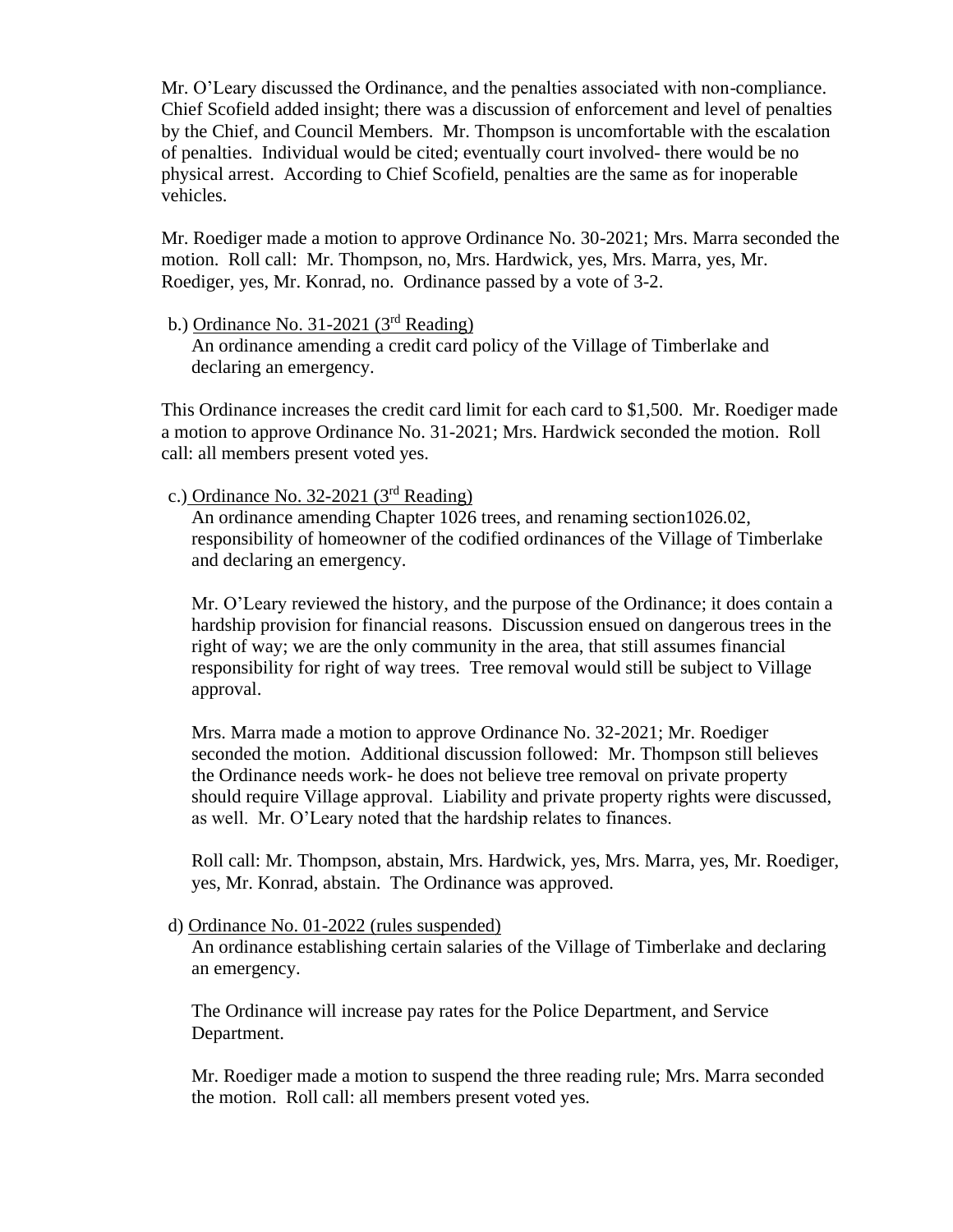Mr. O'Leary discussed the Ordinance, and the penalties associated with non-compliance. Chief Scofield added insight; there was a discussion of enforcement and level of penalties by the Chief, and Council Members. Mr. Thompson is uncomfortable with the escalation of penalties. Individual would be cited; eventually court involved- there would be no physical arrest. According to Chief Scofield, penalties are the same as for inoperable vehicles.

Mr. Roediger made a motion to approve Ordinance No. 30-2021; Mrs. Marra seconded the motion. Roll call: Mr. Thompson, no, Mrs. Hardwick, yes, Mrs. Marra, yes, Mr. Roediger, yes, Mr. Konrad, no. Ordinance passed by a vote of 3-2.

### b.) Ordinance No. 31-2021  $(3<sup>rd</sup>$  Reading)

An ordinance amending a credit card policy of the Village of Timberlake and declaring an emergency.

This Ordinance increases the credit card limit for each card to \$1,500. Mr. Roediger made a motion to approve Ordinance No. 31-2021; Mrs. Hardwick seconded the motion. Roll call: all members present voted yes.

## c.) Ordinance No. 32-2021 (3rd Reading)

An ordinance amending Chapter 1026 trees, and renaming section1026.02, responsibility of homeowner of the codified ordinances of the Village of Timberlake and declaring an emergency.

Mr. O'Leary reviewed the history, and the purpose of the Ordinance; it does contain a hardship provision for financial reasons. Discussion ensued on dangerous trees in the right of way; we are the only community in the area, that still assumes financial responsibility for right of way trees. Tree removal would still be subject to Village approval.

Mrs. Marra made a motion to approve Ordinance No. 32-2021; Mr. Roediger seconded the motion. Additional discussion followed: Mr. Thompson still believes the Ordinance needs work- he does not believe tree removal on private property should require Village approval. Liability and private property rights were discussed, as well. Mr. O'Leary noted that the hardship relates to finances.

Roll call: Mr. Thompson, abstain, Mrs. Hardwick, yes, Mrs. Marra, yes, Mr. Roediger, yes, Mr. Konrad, abstain. The Ordinance was approved.

### d) Ordinance No. 01-2022 (rules suspended)

An ordinance establishing certain salaries of the Village of Timberlake and declaring an emergency.

The Ordinance will increase pay rates for the Police Department, and Service Department.

Mr. Roediger made a motion to suspend the three reading rule; Mrs. Marra seconded the motion. Roll call: all members present voted yes.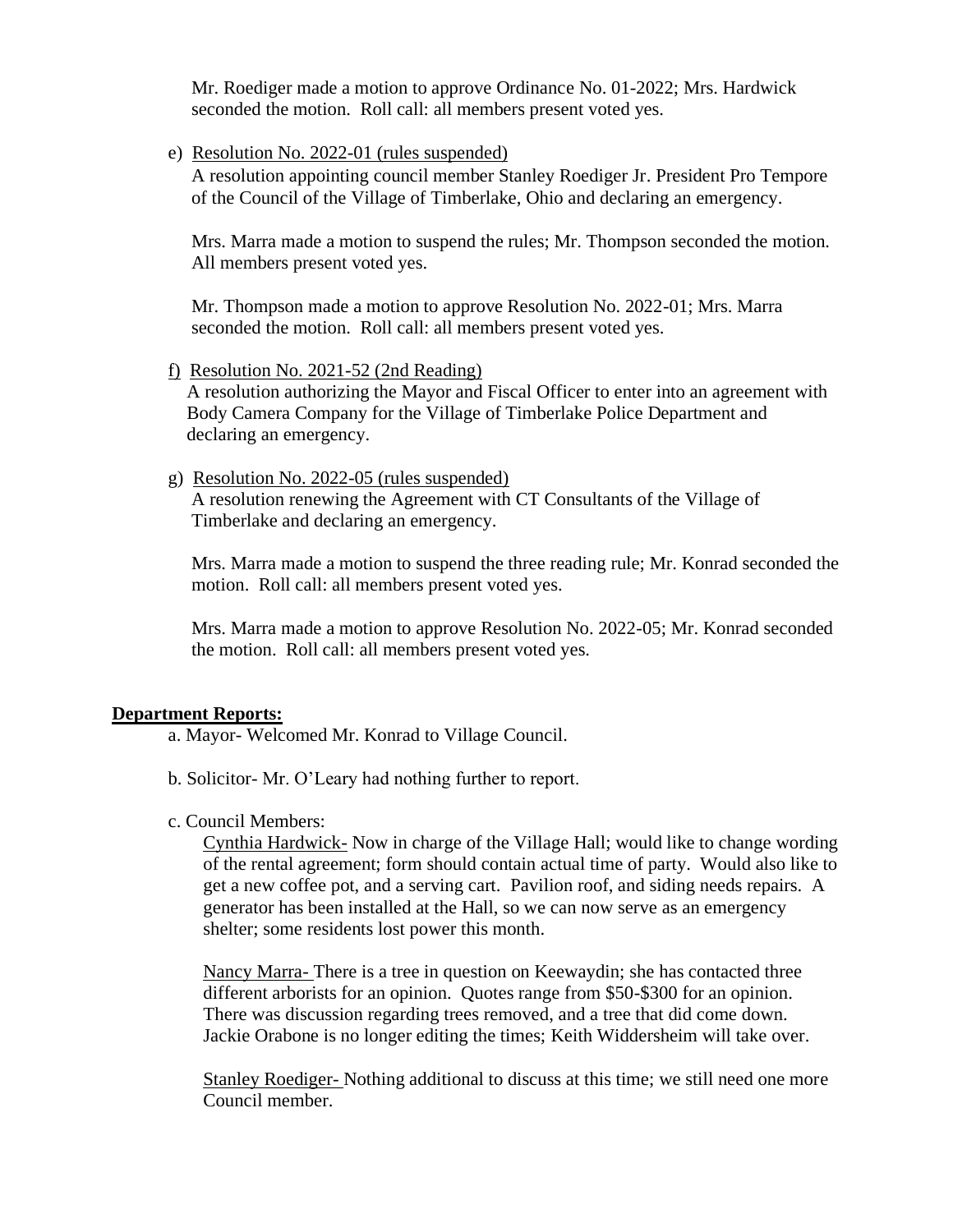Mr. Roediger made a motion to approve Ordinance No. 01-2022; Mrs. Hardwick seconded the motion. Roll call: all members present voted yes.

e) Resolution No. 2022-01 (rules suspended)

A resolution appointing council member Stanley Roediger Jr. President Pro Tempore of the Council of the Village of Timberlake, Ohio and declaring an emergency.

Mrs. Marra made a motion to suspend the rules; Mr. Thompson seconded the motion. All members present voted yes.

Mr. Thompson made a motion to approve Resolution No. 2022-01; Mrs. Marra seconded the motion. Roll call: all members present voted yes.

f) Resolution No. 2021-52 (2nd Reading)

A resolution authorizing the Mayor and Fiscal Officer to enter into an agreement with Body Camera Company for the Village of Timberlake Police Department and declaring an emergency.

g) Resolution No. 2022-05 (rules suspended)

A resolution renewing the Agreement with CT Consultants of the Village of Timberlake and declaring an emergency.

Mrs. Marra made a motion to suspend the three reading rule; Mr. Konrad seconded the motion. Roll call: all members present voted yes.

Mrs. Marra made a motion to approve Resolution No. 2022-05; Mr. Konrad seconded the motion. Roll call: all members present voted yes.

### **Department Reports:**

a. Mayor- Welcomed Mr. Konrad to Village Council.

- b. Solicitor- Mr. O'Leary had nothing further to report.
- c. Council Members:

Cynthia Hardwick- Now in charge of the Village Hall; would like to change wording of the rental agreement; form should contain actual time of party. Would also like to get a new coffee pot, and a serving cart. Pavilion roof, and siding needs repairs. A generator has been installed at the Hall, so we can now serve as an emergency shelter; some residents lost power this month.

Nancy Marra- There is a tree in question on Keewaydin; she has contacted three different arborists for an opinion. Quotes range from \$50-\$300 for an opinion. There was discussion regarding trees removed, and a tree that did come down. Jackie Orabone is no longer editing the times; Keith Widdersheim will take over.

Stanley Roediger- Nothing additional to discuss at this time; we still need one more Council member.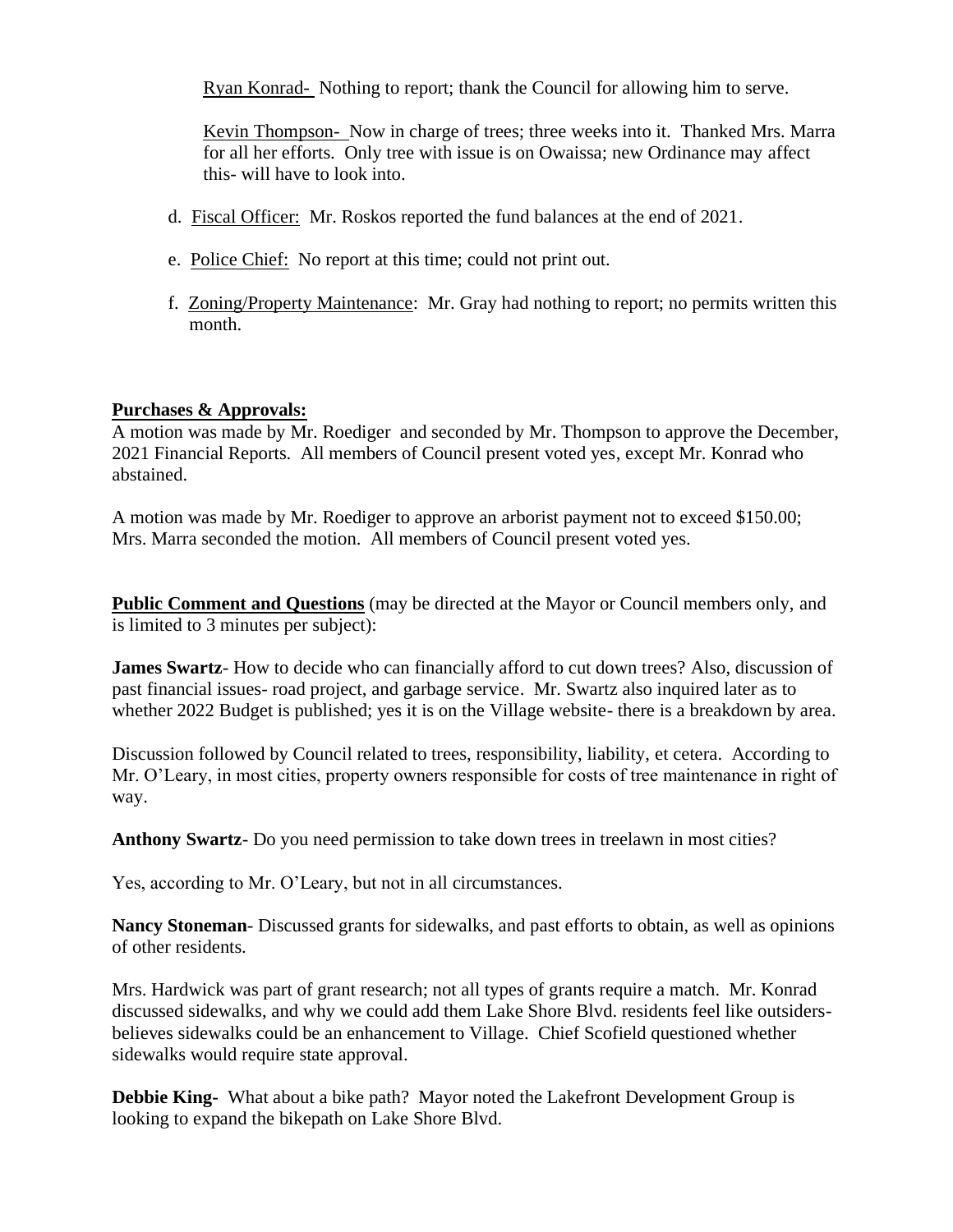Ryan Konrad- Nothing to report; thank the Council for allowing him to serve.

Kevin Thompson- Now in charge of trees; three weeks into it. Thanked Mrs. Marra for all her efforts. Only tree with issue is on Owaissa; new Ordinance may affect this- will have to look into.

- d. Fiscal Officer: Mr. Roskos reported the fund balances at the end of 2021.
- e. Police Chief: No report at this time; could not print out.
- f. Zoning/Property Maintenance: Mr. Gray had nothing to report; no permits written this month.

### **Purchases & Approvals:**

A motion was made by Mr. Roediger and seconded by Mr. Thompson to approve the December, 2021 Financial Reports. All members of Council present voted yes, except Mr. Konrad who abstained.

A motion was made by Mr. Roediger to approve an arborist payment not to exceed \$150.00; Mrs. Marra seconded the motion. All members of Council present voted yes.

**Public Comment and Questions** (may be directed at the Mayor or Council members only, and is limited to 3 minutes per subject):

**James Swartz**- How to decide who can financially afford to cut down trees? Also, discussion of past financial issues- road project, and garbage service. Mr. Swartz also inquired later as to whether 2022 Budget is published; yes it is on the Village website- there is a breakdown by area.

Discussion followed by Council related to trees, responsibility, liability, et cetera. According to Mr. O'Leary, in most cities, property owners responsible for costs of tree maintenance in right of way.

**Anthony Swartz**- Do you need permission to take down trees in treelawn in most cities?

Yes, according to Mr. O'Leary, but not in all circumstances.

**Nancy Stoneman**- Discussed grants for sidewalks, and past efforts to obtain, as well as opinions of other residents.

Mrs. Hardwick was part of grant research; not all types of grants require a match. Mr. Konrad discussed sidewalks, and why we could add them Lake Shore Blvd. residents feel like outsidersbelieves sidewalks could be an enhancement to Village. Chief Scofield questioned whether sidewalks would require state approval.

**Debbie King-** What about a bike path? Mayor noted the Lakefront Development Group is looking to expand the bikepath on Lake Shore Blvd.